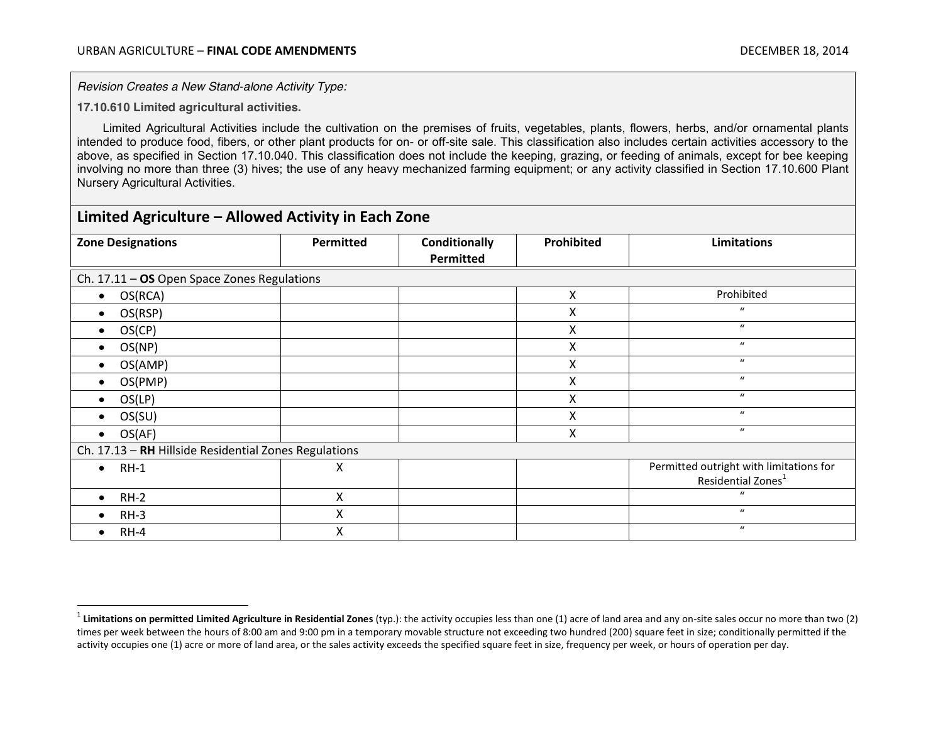*Revision Creates a New Stand-alone Activity Type:*

**17.10.610 Limited agricultural activities.**

Limited Agricultural Activities include the cultivation on the premises of fruits, vegetables, plants, flowers, herbs, and/or ornamental plants intended to produce food, fibers, or other plant products for on- or off-site sale. This classification also includes certain activities accessory to the above, as specified in [Section 17.10.040.](file://ceda-server3/zoning/Zoning%20Code/level3/TIT17PL_CH17.10USCL_ARTIGECLRU.docx%23TIT17PL_CH17.10USCL_ARTIGECLRU_17.10.040ACAC) This classification does not include the keeping, grazing, or feeding of animals, except for bee keeping involving no more than three (3) hives; the use of any heavy mechanized farming equipment; or any activity classified in Section 17.10.600 Plant Nursery Agricultural Activities.

## **Limited Agriculture – Allowed Activity in Each Zone Zone Designations Permitted Conditionally Permitted Prohibited Limitations** Ch. 17.11 – **OS** Open Space Zones Regulations x OS(RCA) X Prohibited  $\bullet$  OS(RSP)  $\qquad$   $\qquad$   $\qquad$   $\qquad$   $\qquad$   $\qquad$   $\qquad$   $\qquad$   $\qquad$   $\qquad$   $\qquad$   $\qquad$   $\qquad$   $\qquad$   $\qquad$   $\qquad$   $\qquad$   $\qquad$   $\qquad$   $\qquad$   $\qquad$   $\qquad$   $\qquad$   $\qquad$   $\qquad$   $\qquad$   $\qquad$   $\qquad$   $\qquad$   $\qquad$   $\qquad$   $\qquad$   $\qquad$   $\qquad$   $\qquad$  $\bullet$  OS(CP)  $\qquad$   $\qquad$   $\qquad$   $\qquad$   $\qquad$   $\qquad$   $\qquad$   $\qquad$   $\qquad$   $\qquad$   $\qquad$   $\qquad$   $\qquad$   $\qquad$   $\qquad$   $\qquad$   $\qquad$   $\qquad$   $\qquad$   $\qquad$   $\qquad$   $\qquad$   $\qquad$   $\qquad$   $\qquad$   $\qquad$   $\qquad$   $\qquad$   $\qquad$   $\qquad$   $\qquad$   $\qquad$   $\qquad$   $\qquad$   $\qquad$  $\bullet$  OS(NP)  $\qquad \qquad \vert$   $\qquad \qquad \vert$   $\qquad \qquad \vert$   $\qquad \qquad \times$   $\qquad \qquad \vert$   $\qquad \qquad \text{``}$ x OS(AMP) X " x OS(PMP) X "  $\bullet$  OS(LP)  $\qquad$   $\qquad$   $\qquad$   $\qquad$   $\qquad$   $\qquad$   $\qquad$   $\qquad$   $\qquad$   $\qquad$   $\qquad$   $\qquad$   $\qquad$   $\qquad$   $\qquad$   $\qquad$   $\qquad$   $\qquad$   $\qquad$   $\qquad$   $\qquad$   $\qquad$   $\qquad$   $\qquad$   $\qquad$   $\qquad$   $\qquad$   $\qquad$   $\qquad$   $\qquad$   $\qquad$   $\qquad$   $\qquad$   $\qquad$   $\qquad$  $\bullet$  OS(SU)  $\qquad$   $\qquad$   $\qquad$   $\qquad$   $\qquad$   $\qquad$   $\qquad$   $\qquad$   $\qquad$   $\qquad$   $\qquad$   $\qquad$   $\qquad$   $\qquad$   $\qquad$   $\qquad$   $\qquad$   $\qquad$   $\qquad$   $\qquad$   $\qquad$   $\qquad$   $\qquad$   $\qquad$   $\qquad$   $\qquad$   $\qquad$   $\qquad$   $\qquad$   $\qquad$   $\qquad$   $\qquad$   $\qquad$   $\qquad$   $\qquad$  $\bullet$  OS(AF)  $\qquad$   $\qquad$   $\qquad$   $\qquad$   $\qquad$   $\qquad$   $\qquad$   $\qquad$   $\qquad$   $\qquad$   $\qquad$   $\qquad$   $\qquad$   $\qquad$   $\qquad$   $\qquad$   $\qquad$   $\qquad$   $\qquad$   $\qquad$   $\qquad$   $\qquad$   $\qquad$   $\qquad$   $\qquad$   $\qquad$   $\qquad$   $\qquad$   $\qquad$   $\qquad$   $\qquad$   $\qquad$   $\qquad$   $\qquad$   $\qquad$ Ch. 17.13 – **RH** Hillside Residential Zones Regulations **a** RH-1 **Permitted outright with limitations for Permitted outright with limitations for** Residential Zones<sup>1</sup> x RH-2 X " • RH-3  $\qquad \qquad \begin{array}{ccc} \text{X} & \text{X} & \text{X} & \text{X} & \text{X} & \text{X} & \text{X} & \text{X} & \text{X} & \text{X} & \text{X} & \text{X} & \text{X} & \text{X} & \text{X} & \text{X} & \text{X} & \text{X} & \text{X} & \text{X} & \text{X} & \text{X} & \text{X} & \text{X} & \text{X} & \text{X} & \text{X} & \text{X} & \text{X} & \text{X} & \text{X} & \text{X} & \text{X} & \text$ x RH-4 X "

<sup>&</sup>lt;sup>1</sup> Limitations on permitted Limited Agriculture in Residential Zones (typ.): the activity occupies less than one (1) acre of land area and any on-site sales occur no more than two (2) times per week between the hours of 8:00 am and 9:00 pm in a temporary movable structure not exceeding two hundred (200) square feet in size; conditionally permitted if the activity occupies one (1) acre or more of land area, or the sales activity exceeds the specified square feet in size, frequency per week, or hours of operation per day.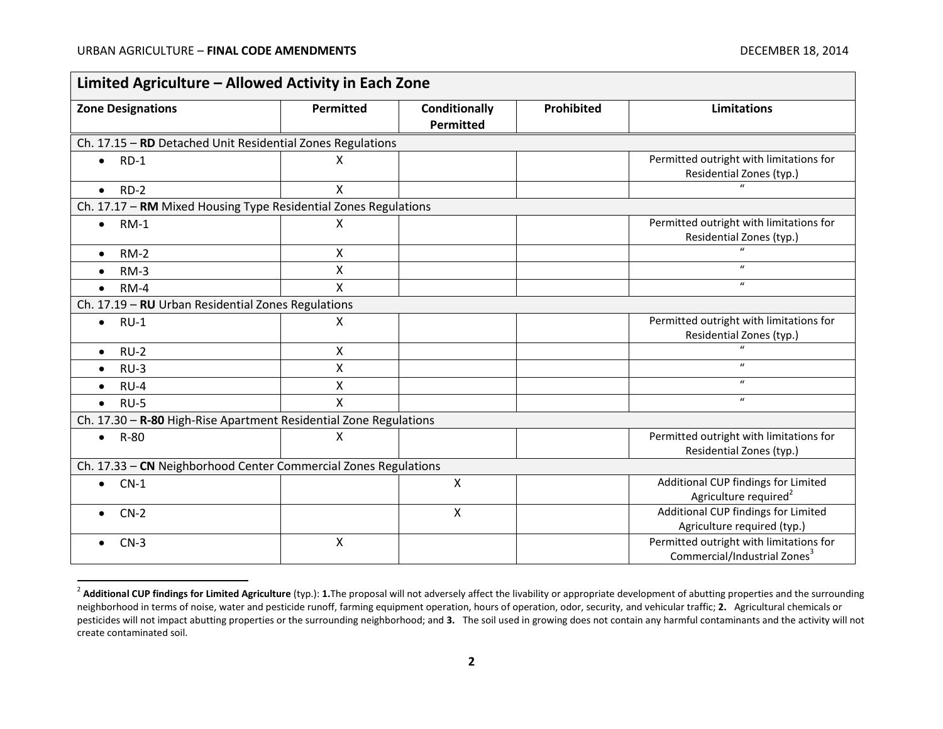| <b>Zone Designations</b>                                          | <b>Permitted</b> | <b>Conditionally</b><br>Permitted | Prohibited | <b>Limitations</b>                                                                  |
|-------------------------------------------------------------------|------------------|-----------------------------------|------------|-------------------------------------------------------------------------------------|
| Ch. 17.15 - RD Detached Unit Residential Zones Regulations        |                  |                                   |            |                                                                                     |
| $RD-1$<br>$\bullet$                                               | X                |                                   |            | Permitted outright with limitations for<br>Residential Zones (typ.)                 |
| $RD-2$<br>$\bullet$                                               | X                |                                   |            |                                                                                     |
| Ch. 17.17 - RM Mixed Housing Type Residential Zones Regulations   |                  |                                   |            |                                                                                     |
| $RM-1$<br>$\bullet$                                               | X                |                                   |            | Permitted outright with limitations for<br>Residential Zones (typ.)                 |
| $RM-2$<br>$\bullet$                                               | X                |                                   |            | $\mathbf{u}$                                                                        |
| $RM-3$<br>$\bullet$                                               | X                |                                   |            | $\boldsymbol{u}$                                                                    |
| $RM-4$<br>$\bullet$                                               | $\mathsf{x}$     |                                   |            | $\boldsymbol{\mathcal{U}}$                                                          |
| Ch. 17.19 - RU Urban Residential Zones Regulations                |                  |                                   |            |                                                                                     |
| $RU-1$<br>$\bullet$                                               | X                |                                   |            | Permitted outright with limitations for<br>Residential Zones (typ.)                 |
| $RU-2$<br>$\bullet$                                               | X                |                                   |            | $\boldsymbol{u}$                                                                    |
| $RU-3$<br>$\bullet$                                               | X                |                                   |            | $\boldsymbol{u}$                                                                    |
| $RU-4$<br>$\bullet$                                               | Χ                |                                   |            | $\boldsymbol{u}$                                                                    |
| $RU-5$<br>$\bullet$                                               | $\mathsf{x}$     |                                   |            | $\boldsymbol{u}$                                                                    |
| Ch. 17.30 - R-80 High-Rise Apartment Residential Zone Regulations |                  |                                   |            |                                                                                     |
| R-80<br>$\bullet$                                                 | X                |                                   |            | Permitted outright with limitations for<br>Residential Zones (typ.)                 |
| Ch. 17.33 - CN Neighborhood Center Commercial Zones Regulations   |                  |                                   |            |                                                                                     |
| $CN-1$<br>$\bullet$                                               |                  | X                                 |            | Additional CUP findings for Limited<br>Agriculture required <sup>2</sup>            |
| $CN-2$                                                            |                  | X                                 |            | Additional CUP findings for Limited<br>Agriculture required (typ.)                  |
| $CN-3$                                                            | X                |                                   |            | Permitted outright with limitations for<br>Commercial/Industrial Zones <sup>3</sup> |

<sup>&</sup>lt;sup>2</sup> Additional CUP findings for Limited Agriculture (typ.): 1. The proposal will not adversely affect the livability or appropriate development of abutting properties and the surrounding neighborhood in terms of noise, water and pesticide runoff, farming equipment operation, hours of operation, odor, security, and vehicular traffic; **2.** Agricultural chemicals or pesticides will not impact abutting properties or the surrounding neighborhood; and **3.** The soil used in growing does not contain any harmful contaminants and the activity will not create contaminated soil.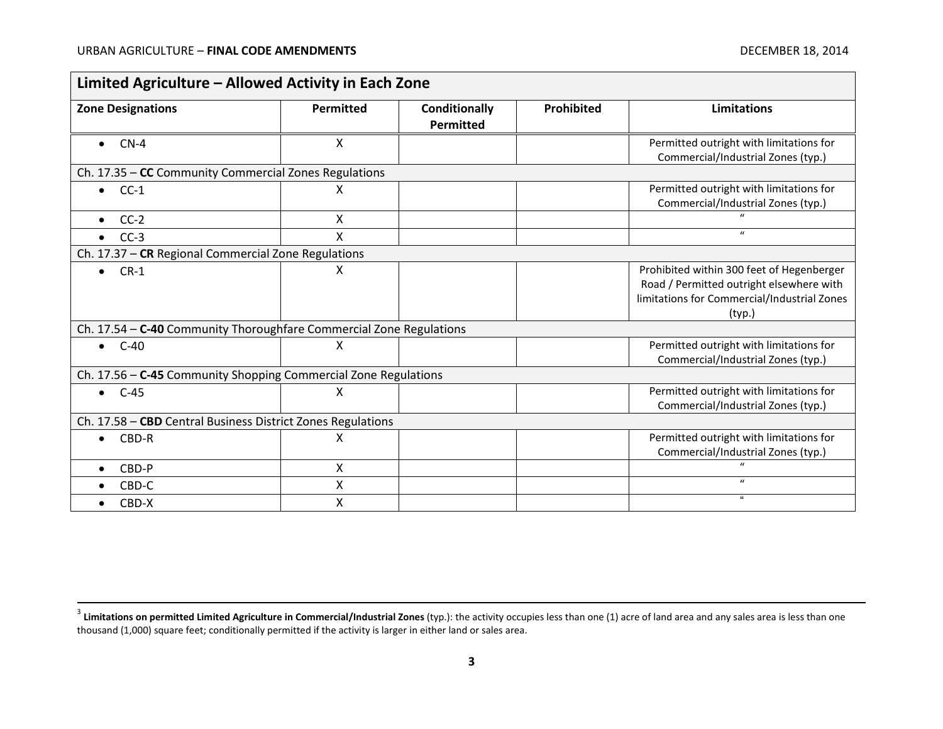| Limited Agriculture - Allowed Activity in Each Zone                 |           |                            |            |                                                                                                                                                |
|---------------------------------------------------------------------|-----------|----------------------------|------------|------------------------------------------------------------------------------------------------------------------------------------------------|
| <b>Zone Designations</b>                                            | Permitted | Conditionally<br>Permitted | Prohibited | Limitations                                                                                                                                    |
| $CN-4$<br>$\bullet$                                                 | X         |                            |            | Permitted outright with limitations for<br>Commercial/Industrial Zones (typ.)                                                                  |
| Ch. 17.35 - CC Community Commercial Zones Regulations               |           |                            |            |                                                                                                                                                |
| $\bullet$ CC-1                                                      | X         |                            |            | Permitted outright with limitations for<br>Commercial/Industrial Zones (typ.)                                                                  |
| $CC-2$<br>$\bullet$                                                 | X         |                            |            | $\mathbf{u}$                                                                                                                                   |
| $CC-3$<br>$\bullet$                                                 | X         |                            |            | $\mathbf{u}$                                                                                                                                   |
| Ch. 17.37 - CR Regional Commercial Zone Regulations                 |           |                            |            |                                                                                                                                                |
| $\bullet$ CR-1                                                      | X         |                            |            | Prohibited within 300 feet of Hegenberger<br>Road / Permitted outright elsewhere with<br>limitations for Commercial/Industrial Zones<br>(typ.) |
| Ch. 17.54 - C-40 Community Thoroughfare Commercial Zone Regulations |           |                            |            |                                                                                                                                                |
| $C-40$<br>$\bullet$                                                 | X         |                            |            | Permitted outright with limitations for<br>Commercial/Industrial Zones (typ.)                                                                  |
| Ch. 17.56 - C-45 Community Shopping Commercial Zone Regulations     |           |                            |            |                                                                                                                                                |
| $\bullet$ C-45                                                      | X         |                            |            | Permitted outright with limitations for<br>Commercial/Industrial Zones (typ.)                                                                  |
| Ch. 17.58 - CBD Central Business District Zones Regulations         |           |                            |            |                                                                                                                                                |
| CBD-R<br>$\bullet$                                                  | X         |                            |            | Permitted outright with limitations for<br>Commercial/Industrial Zones (typ.)                                                                  |
| CBD-P<br>$\bullet$                                                  | X         |                            |            |                                                                                                                                                |
| CBD-C                                                               | Χ         |                            |            | $\boldsymbol{u}$                                                                                                                               |
| CBD-X<br>$\bullet$                                                  | X         |                            |            | $\mathbf{G}$                                                                                                                                   |

 <sup>3</sup> **Limitations on permitted Limited Agriculture in Commercial/Industrial Zones** (typ.): the activity occupies less than one (1) acre of land area and any sales area is less than one thousand (1,000) square feet; conditionally permitted if the activity is larger in either land or sales area.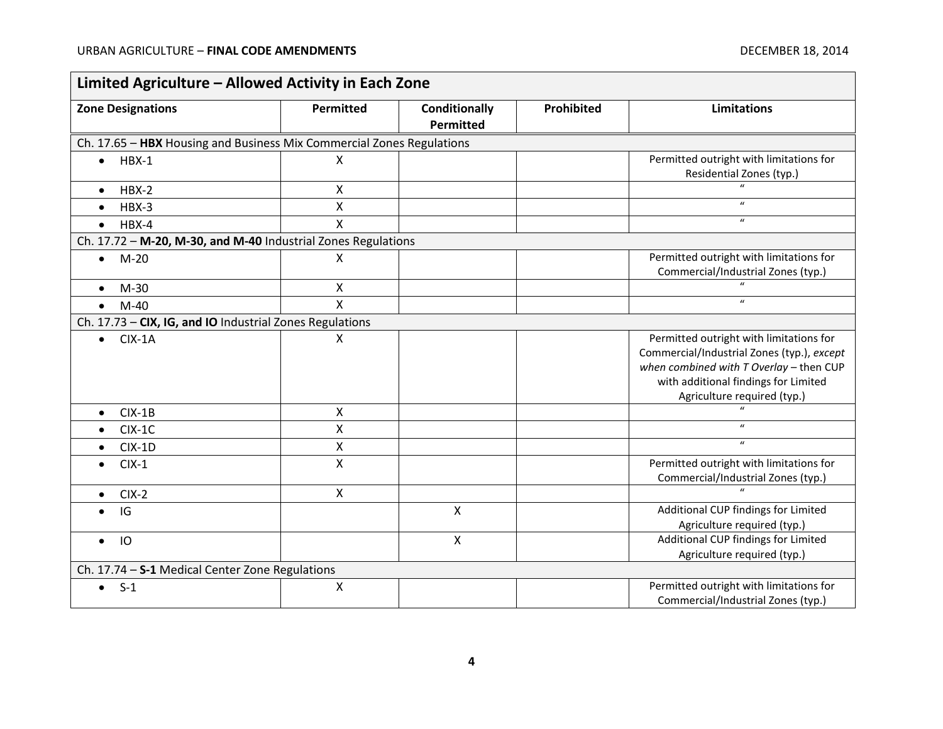÷.

| Limited Agriculture - Allowed Activity in Each Zone                   |                           |                                   |            |                                                                                                                                                                                                           |  |
|-----------------------------------------------------------------------|---------------------------|-----------------------------------|------------|-----------------------------------------------------------------------------------------------------------------------------------------------------------------------------------------------------------|--|
| <b>Zone Designations</b>                                              | Permitted                 | <b>Conditionally</b><br>Permitted | Prohibited | <b>Limitations</b>                                                                                                                                                                                        |  |
| Ch. 17.65 - HBX Housing and Business Mix Commercial Zones Regulations |                           |                                   |            |                                                                                                                                                                                                           |  |
| $\bullet$ HBX-1                                                       | X                         |                                   |            | Permitted outright with limitations for<br>Residential Zones (typ.)                                                                                                                                       |  |
| $HBX-2$<br>$\bullet$                                                  | $\mathsf{x}$              |                                   |            |                                                                                                                                                                                                           |  |
| HBX-3<br>$\bullet$                                                    | $\pmb{\times}$            |                                   |            | $\boldsymbol{\mathcal{U}}$                                                                                                                                                                                |  |
| $HBX-4$<br>$\bullet$                                                  | $\sf X$                   |                                   |            | $\boldsymbol{\mathcal{U}}$                                                                                                                                                                                |  |
| Ch. 17.72 - M-20, M-30, and M-40 Industrial Zones Regulations         |                           |                                   |            |                                                                                                                                                                                                           |  |
| $M-20$<br>$\bullet$                                                   | X                         |                                   |            | Permitted outright with limitations for<br>Commercial/Industrial Zones (typ.)                                                                                                                             |  |
| $M-30$<br>$\bullet$                                                   | $\boldsymbol{\mathsf{X}}$ |                                   |            |                                                                                                                                                                                                           |  |
| $M-40$<br>$\bullet$                                                   | $\mathsf{x}$              |                                   |            | $\boldsymbol{u}$                                                                                                                                                                                          |  |
| Ch. 17.73 - CIX, IG, and IO Industrial Zones Regulations              |                           |                                   |            |                                                                                                                                                                                                           |  |
| $CIX-1A$<br>$\bullet$                                                 | X                         |                                   |            | Permitted outright with limitations for<br>Commercial/Industrial Zones (typ.), except<br>when combined with $T$ Overlay - then CUP<br>with additional findings for Limited<br>Agriculture required (typ.) |  |
| $CIX-1B$<br>$\bullet$                                                 | $\mathsf{X}$              |                                   |            |                                                                                                                                                                                                           |  |
| $CIX-1C$<br>$\bullet$                                                 | X                         |                                   |            | $\boldsymbol{u}$                                                                                                                                                                                          |  |
| $CIX-1D$                                                              | $\pmb{\times}$            |                                   |            | $\boldsymbol{u}$                                                                                                                                                                                          |  |
| $CIX-1$<br>$\bullet$                                                  | $\boldsymbol{\mathsf{X}}$ |                                   |            | Permitted outright with limitations for<br>Commercial/Industrial Zones (typ.)                                                                                                                             |  |
| $CIX-2$<br>$\bullet$                                                  | $\mathsf{x}$              |                                   |            | $\overline{u}$                                                                                                                                                                                            |  |
| IG                                                                    |                           | $\pmb{\times}$                    |            | Additional CUP findings for Limited<br>Agriculture required (typ.)                                                                                                                                        |  |
| IO<br>$\bullet$                                                       |                           | $\pmb{\times}$                    |            | Additional CUP findings for Limited<br>Agriculture required (typ.)                                                                                                                                        |  |
| Ch. 17.74 - S-1 Medical Center Zone Regulations                       |                           |                                   |            |                                                                                                                                                                                                           |  |
| $S-1$<br>$\bullet$                                                    | $\mathsf{X}$              |                                   |            | Permitted outright with limitations for<br>Commercial/Industrial Zones (typ.)                                                                                                                             |  |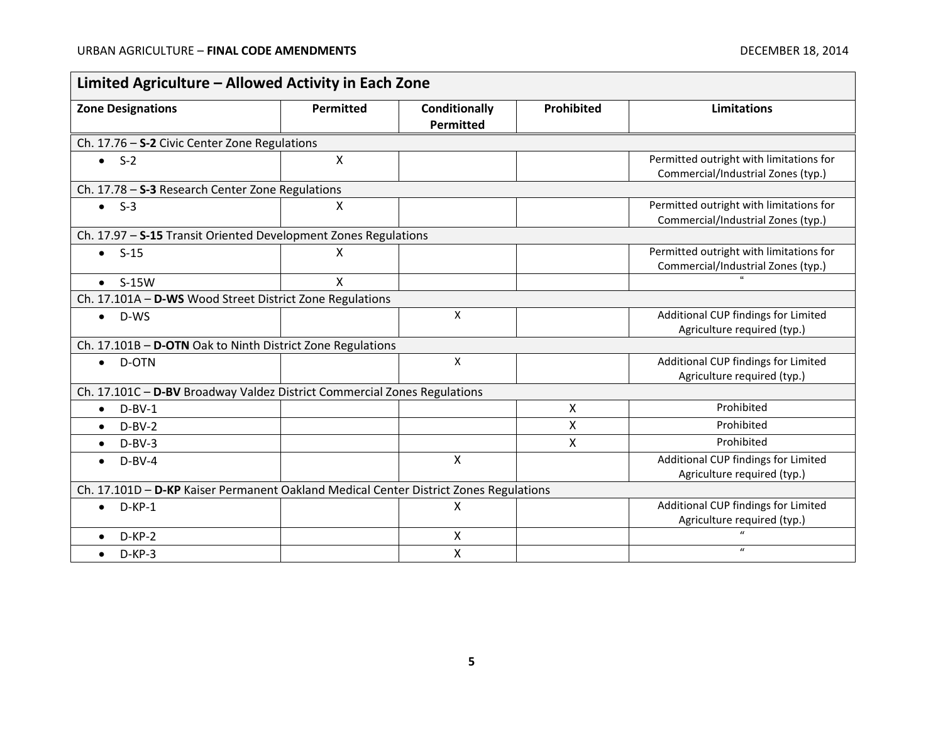$\overline{\phantom{0}}$ 

| <b>Zone Designations</b>                                                              | <b>Permitted</b> | Conditionally<br><b>Permitted</b> | Prohibited | <b>Limitations</b>                                                            |  |
|---------------------------------------------------------------------------------------|------------------|-----------------------------------|------------|-------------------------------------------------------------------------------|--|
| Ch. 17.76 - S-2 Civic Center Zone Regulations                                         |                  |                                   |            |                                                                               |  |
| $-S-2$                                                                                | X                |                                   |            | Permitted outright with limitations for<br>Commercial/Industrial Zones (typ.) |  |
| Ch. 17.78 - S-3 Research Center Zone Regulations                                      |                  |                                   |            |                                                                               |  |
| $\bullet$ S-3                                                                         | X                |                                   |            | Permitted outright with limitations for<br>Commercial/Industrial Zones (typ.) |  |
| Ch. 17.97 - S-15 Transit Oriented Development Zones Regulations                       |                  |                                   |            |                                                                               |  |
| $-S-15$                                                                               | X                |                                   |            | Permitted outright with limitations for<br>Commercial/Industrial Zones (typ.) |  |
| $\bullet$ S-15W                                                                       | X                |                                   |            |                                                                               |  |
| Ch. 17.101A - D-WS Wood Street District Zone Regulations                              |                  |                                   |            |                                                                               |  |
| D-WS<br>$\bullet$                                                                     |                  | $\mathsf{x}$                      |            | Additional CUP findings for Limited<br>Agriculture required (typ.)            |  |
| Ch. 17.101B - D-OTN Oak to Ninth District Zone Regulations                            |                  |                                   |            |                                                                               |  |
| D-OTN<br>$\bullet$                                                                    |                  | X                                 |            | Additional CUP findings for Limited<br>Agriculture required (typ.)            |  |
| Ch. 17.101C - D-BV Broadway Valdez District Commercial Zones Regulations              |                  |                                   |            |                                                                               |  |
| $D-BV-1$<br>$\bullet$                                                                 |                  |                                   | X          | Prohibited                                                                    |  |
| $D-BV-2$                                                                              |                  |                                   | Χ          | Prohibited                                                                    |  |
| $D-BV-3$<br>$\bullet$                                                                 |                  |                                   | X          | Prohibited                                                                    |  |
| $D-BV-4$                                                                              |                  | $\pmb{\times}$                    |            | Additional CUP findings for Limited<br>Agriculture required (typ.)            |  |
| Ch. 17.101D - D-KP Kaiser Permanent Oakland Medical Center District Zones Regulations |                  |                                   |            |                                                                               |  |
| $D-KP-1$<br>$\bullet$                                                                 |                  | X                                 |            | Additional CUP findings for Limited<br>Agriculture required (typ.)            |  |
| $D-KP-2$                                                                              |                  | X                                 |            |                                                                               |  |
| $D-KP-3$                                                                              |                  | X                                 |            | $\boldsymbol{u}$                                                              |  |